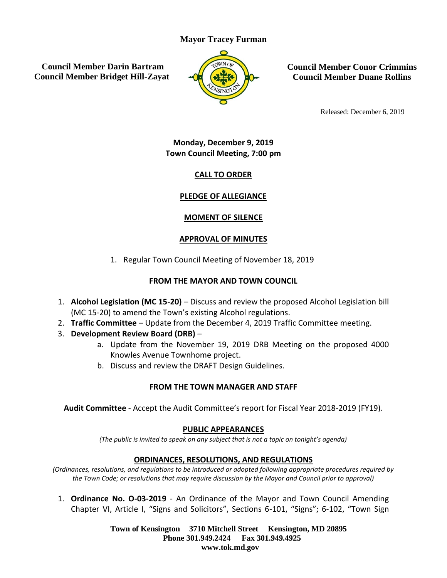# **Mayor Tracey Furman**

**Council Member Darin Bartram Council Member Bridget Hill-Zayat**



**Council Member Conor Crimmins Council Member Duane Rollins**

Released: December 6, 2019

**Monday, December 9, 2019 Town Council Meeting, 7:00 pm**

# **CALL TO ORDER**

# **PLEDGE OF ALLEGIANCE**

# **MOMENT OF SILENCE**

# **APPROVAL OF MINUTES**

1. Regular Town Council Meeting of November 18, 2019

# **FROM THE MAYOR AND TOWN COUNCIL**

- 1. **Alcohol Legislation (MC 15-20)** Discuss and review the proposed Alcohol Legislation bill (MC 15-20) to amend the Town's existing Alcohol regulations.
- 2. **Traffic Committee** Update from the December 4, 2019 Traffic Committee meeting.
- 3. **Development Review Board (DRB)**
	- a. Update from the November 19, 2019 DRB Meeting on the proposed 4000 Knowles Avenue Townhome project.
	- b. Discuss and review the DRAFT Design Guidelines.

# **FROM THE TOWN MANAGER AND STAFF**

**Audit Committee** - Accept the Audit Committee's report for Fiscal Year 2018-2019 (FY19).

# **PUBLIC APPEARANCES**

*(The public is invited to speak on any subject that is not a topic on tonight's agenda)*

# **ORDINANCES, RESOLUTIONS, AND REGULATIONS**

*(Ordinances, resolutions, and regulations to be introduced or adopted following appropriate procedures required by the Town Code; or resolutions that may require discussion by the Mayor and Council prior to approval)*

1. **Ordinance No. O-03-2019** - An Ordinance of the Mayor and Town Council Amending Chapter VI, Article I, "Signs and Solicitors", Sections 6-101, "Signs"; 6-102, "Town Sign

> **Town of Kensington 3710 Mitchell Street Kensington, MD 20895 Phone 301.949.2424 Fax 301.949.4925 www.tok.md.gov**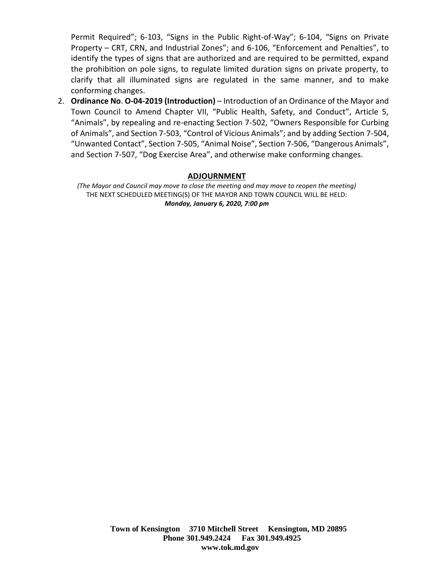Permit Required"; 6-103, "Signs in the Public Right-of-Way"; 6-104, "Signs on Private Property – CRT, CRN, and Industrial Zones"; and 6-106, "Enforcement and Penalties", to identify the types of signs that are authorized and are required to be permitted, expand the prohibition on pole signs, to regulate limited duration signs on private property, to clarify that all illuminated signs are regulated in the same manner, and to make conforming changes.

2. **Ordinance No**. **O-04-2019 (Introduction)** – Introduction of an Ordinance of the Mayor and Town Council to Amend Chapter VII, "Public Health, Safety, and Conduct", Article 5, "Animals", by repealing and re-enacting Section 7-502, "Owners Responsible for Curbing of Animals", and Section 7-503, "Control of Vicious Animals"; and by adding Section 7-504, "Unwanted Contact", Section 7-505, "Animal Noise", Section 7-506, "Dangerous Animals", and Section 7-507, "Dog Exercise Area", and otherwise make conforming changes.

#### **ADJOURNMENT**

*(The Mayor and Council may move to close the meeting and may move to reopen the meeting)* THE NEXT SCHEDULED MEETING(S) OF THE MAYOR AND TOWN COUNCIL WILL BE HELD: *Monday, January 6, 2020, 7:00 pm*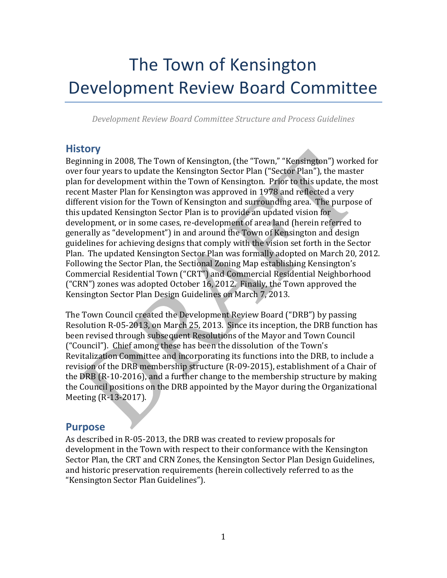# The Town of Kensington Development Review Board Committee

*Development Review Board Committee Structure and Process Guidelines*

# **History**

Beginning in 2008, The Town of Kensington, (the "Town," "Kensington") worked for over four years to update the Kensington Sector Plan ("Sector Plan"), the master plan for development within the Town of Kensington. Prior to this update, the most recent Master Plan for Kensington was approved in 1978 and reflected a very different vision for the Town of Kensington and surrounding area. The purpose of this updated Kensington Sector Plan is to provide an updated vision for development, or in some cases, re-development of area land (herein referred to generally as "development") in and around the Town of Kensington and design guidelines for achieving designs that comply with the vision set forth in the Sector Plan. The updated Kensington Sector Plan was formally adopted on March 20, 2012. Following the Sector Plan, the Sectional Zoning Map establishing Kensington's Commercial Residential Town ("CRT") and Commercial Residential Neighborhood ("CRN") zones was adopted October 16, 2012. Finally, the Town approved the Kensington Sector Plan Design Guidelines on March 7, 2013.

The Town Council created the Development Review Board ("DRB") by passing Resolution R-05-2013, on March 25, 2013. Since its inception, the DRB function has been revised through subsequent Resolutions of the Mayor and Town Council ("Council"). Chief among these has been the dissolution of the Town's Revitalization Committee and incorporating its functions into the DRB, to include a revision of the DRB membership structure (R-09-2015), establishment of a Chair of the DRB (R-10-2016), and a further change to the membership structure by making the Council positions on the DRB appointed by the Mayor during the Organizational Meeting (R-13-2017).

# **Purpose**

As described in R-05-2013, the DRB was created to review proposals for development in the Town with respect to their conformance with the Kensington Sector Plan, the CRT and CRN Zones, the Kensington Sector Plan Design Guidelines, and historic preservation requirements (herein collectively referred to as the "Kensington Sector Plan Guidelines").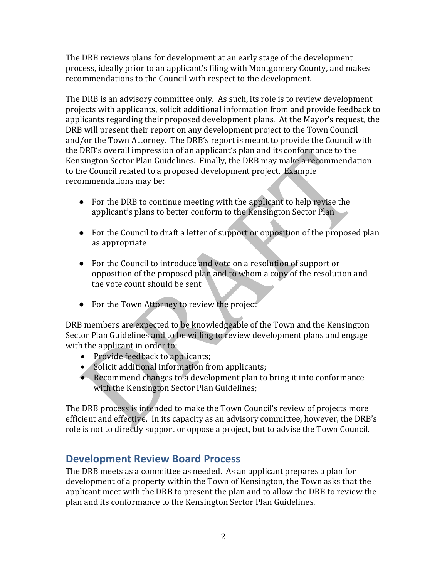The DRB reviews plans for development at an early stage of the development process, ideally prior to an applicant's filing with Montgomery County, and makes recommendations to the Council with respect to the development.

The DRB is an advisory committee only. As such, its role is to review development projects with applicants, solicit additional information from and provide feedback to applicants regarding their proposed development plans. At the Mayor's request, the DRB will present their report on any development project to the Town Council and/or the Town Attorney. The DRB's report is meant to provide the Council with the DRB's overall impression of an applicant's plan and its conformance to the Kensington Sector Plan Guidelines. Finally, the DRB may make a recommendation to the Council related to a proposed development project. Example recommendations may be:

- For the DRB to continue meeting with the applicant to help revise the applicant's plans to better conform to the Kensington Sector Plan
- For the Council to draft a letter of support or opposition of the proposed plan as appropriate
- For the Council to introduce and vote on a resolution of support or opposition of the proposed plan and to whom a copy of the resolution and the vote count should be sent
- For the Town Attorney to review the project

DRB members are expected to be knowledgeable of the Town and the Kensington Sector Plan Guidelines and to be willing to review development plans and engage with the applicant in order to:

- Provide feedback to applicants;
- Solicit additional information from applicants;
- Recommend changes to a development plan to bring it into conformance with the Kensington Sector Plan Guidelines;

The DRB process is intended to make the Town Council's review of projects more efficient and effective. In its capacity as an advisory committee, however, the DRB's role is not to directly support or oppose a project, but to advise the Town Council.

# **Development Review Board Process**

The DRB meets as a committee as needed. As an applicant prepares a plan for development of a property within the Town of Kensington, the Town asks that the applicant meet with the DRB to present the plan and to allow the DRB to review the plan and its conformance to the Kensington Sector Plan Guidelines.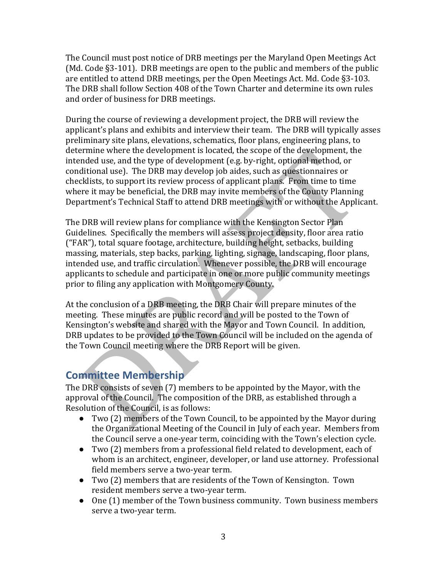The Council must post notice of DRB meetings per the Maryland Open Meetings Act (Md. Code §3-101). DRB meetings are open to the public and members of the public are entitled to attend DRB meetings, per the Open Meetings Act. Md. Code §3-103. The DRB shall follow Section 408 of the Town Charter and determine its own rules and order of business for DRB meetings.

During the course of reviewing a development project, the DRB will review the applicant's plans and exhibits and interview their team. The DRB will typically asses preliminary site plans, elevations, schematics, floor plans, engineering plans, to determine where the development is located, the scope of the development, the intended use, and the type of development (e.g. by-right, optional method, or conditional use). The DRB may develop job aides, such as questionnaires or checklists, to support its review process of applicant plans. From time to time where it may be beneficial, the DRB may invite members of the County Planning Department's Technical Staff to attend DRB meetings with or without the Applicant.

The DRB will review plans for compliance with the Kensington Sector Plan Guidelines. Specifically the members will assess project density, floor area ratio ("FAR"), total square footage, architecture, building height, setbacks, building massing, materials, step backs, parking, lighting, signage, landscaping, floor plans, intended use, and traffic circulation. Whenever possible, the DRB will encourage applicants to schedule and participate in one or more public community meetings prior to filing any application with Montgomery County.

At the conclusion of a DRB meeting, the DRB Chair will prepare minutes of the meeting. These minutes are public record and will be posted to the Town of Kensington's website and shared with the Mayor and Town Council. In addition, DRB updates to be provided to the Town Council will be included on the agenda of the Town Council meeting where the DRB Report will be given.

# **Committee Membership**

The DRB consists of seven (7) members to be appointed by the Mayor, with the approval of the Council. The composition of the DRB, as established through a Resolution of the Council, is as follows:

- Two (2) members of the Town Council, to be appointed by the Mayor during the Organizational Meeting of the Council in July of each year. Members from the Council serve a one-year term, coinciding with the Town's election cycle.
- Two (2) members from a professional field related to development, each of whom is an architect, engineer, developer, or land use attorney. Professional field members serve a two-year term.
- Two (2) members that are residents of the Town of Kensington. Town resident members serve a two-year term.
- One (1) member of the Town business community. Town business members serve a two-year term.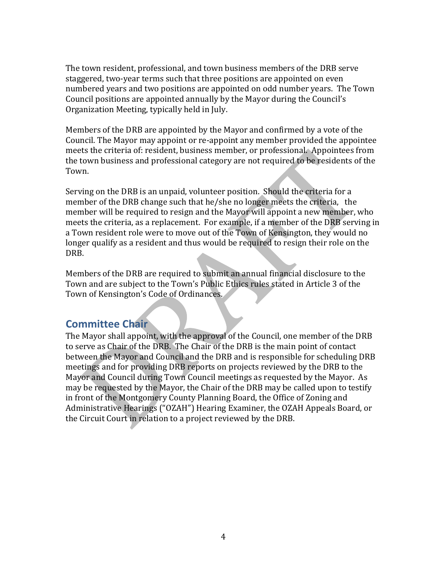The town resident, professional, and town business members of the DRB serve staggered, two-year terms such that three positions are appointed on even numbered years and two positions are appointed on odd number years. The Town Council positions are appointed annually by the Mayor during the Council's Organization Meeting, typically held in July.

Members of the DRB are appointed by the Mayor and confirmed by a vote of the Council. The Mayor may appoint or re-appoint any member provided the appointee meets the criteria of: resident, business member, or professional. Appointees from the town business and professional category are not required to be residents of the Town.

Serving on the DRB is an unpaid, volunteer position. Should the criteria for a member of the DRB change such that he/she no longer meets the criteria, the member will be required to resign and the Mayor will appoint a new member, who meets the criteria, as a replacement. For example, if a member of the DRB serving in a Town resident role were to move out of the Town of Kensington, they would no longer qualify as a resident and thus would be required to resign their role on the DRB.

Members of the DRB are required to submit an annual financial disclosure to the Town and are subject to the Town's Public Ethics rules stated in Article 3 of the Town of Kensington's Code of Ordinances.

# **Committee Chair**

The Mayor shall appoint, with the approval of the Council, one member of the DRB to serve as Chair of the DRB. The Chair of the DRB is the main point of contact between the Mayor and Council and the DRB and is responsible for scheduling DRB meetings and for providing DRB reports on projects reviewed by the DRB to the Mayor and Council during Town Council meetings as requested by the Mayor. As may be requested by the Mayor, the Chair of the DRB may be called upon to testify in front of the Montgomery County Planning Board, the Office of Zoning and Administrative Hearings ("OZAH") Hearing Examiner, the OZAH Appeals Board, or the Circuit Court in relation to a project reviewed by the DRB.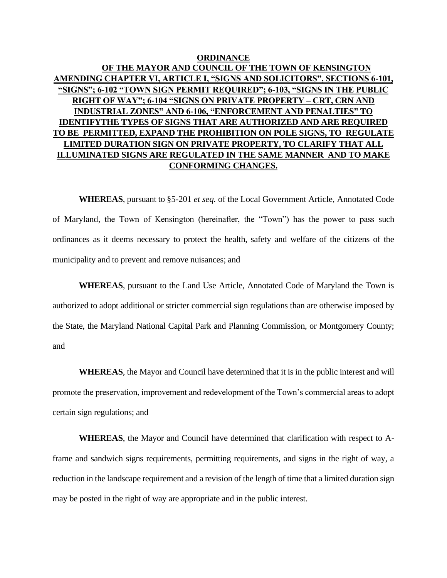# **ORDINANCE OF THE MAYOR AND COUNCIL OF THE TOWN OF KENSINGTON AMENDING CHAPTER VI, ARTICLE I, "SIGNS AND SOLICITORS", SECTIONS 6-101, "SIGNS"; 6-102 "TOWN SIGN PERMIT REQUIRED"; 6-103, "SIGNS IN THE PUBLIC RIGHT OF WAY"; 6-104 "SIGNS ON PRIVATE PROPERTY – CRT, CRN AND INDUSTRIAL ZONES" AND 6-106, "ENFORCEMENT AND PENALTIES" TO IDENTIFYTHE TYPES OF SIGNS THAT ARE AUTHORIZED AND ARE REQUIRED TO BE PERMITTED, EXPAND THE PROHIBITION ON POLE SIGNS, TO REGULATE LIMITED DURATION SIGN ON PRIVATE PROPERTY, TO CLARIFY THAT ALL ILLUMINATED SIGNS ARE REGULATED IN THE SAME MANNER AND TO MAKE CONFORMING CHANGES.**

**WHEREAS**, pursuant to §5-201 *et seq.* of the Local Government Article, Annotated Code of Maryland, the Town of Kensington (hereinafter, the "Town") has the power to pass such ordinances as it deems necessary to protect the health, safety and welfare of the citizens of the municipality and to prevent and remove nuisances; and

**WHEREAS**, pursuant to the Land Use Article, Annotated Code of Maryland the Town is authorized to adopt additional or stricter commercial sign regulations than are otherwise imposed by the State, the Maryland National Capital Park and Planning Commission, or Montgomery County; and

**WHEREAS**, the Mayor and Council have determined that it is in the public interest and will promote the preservation, improvement and redevelopment of the Town's commercial areas to adopt certain sign regulations; and

**WHEREAS**, the Mayor and Council have determined that clarification with respect to Aframe and sandwich signs requirements, permitting requirements, and signs in the right of way, a reduction in the landscape requirement and a revision of the length of time that a limited duration sign may be posted in the right of way are appropriate and in the public interest.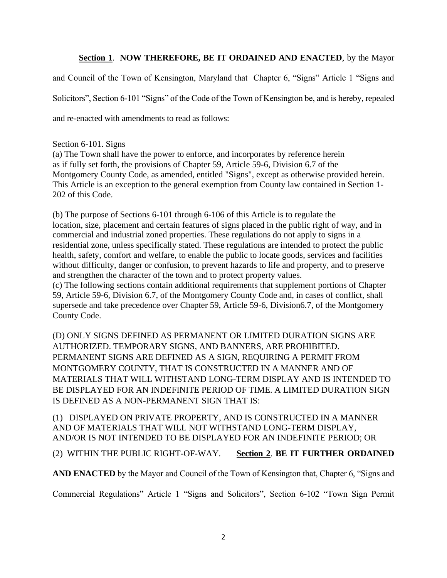### **Section 1**. **NOW THEREFORE, BE IT ORDAINED AND ENACTED**, by the Mayor

and Council of the Town of Kensington, Maryland that Chapter 6, "Signs" Article 1 "Signs and Solicitors", Section 6-101 "Signs" of the Code of the Town of Kensington be, and is hereby, repealed and re-enacted with amendments to read as follows:

#### Section 6-101. Signs

(a) The Town shall have the power to enforce, and incorporates by reference herein as if fully set forth, the provisions of Chapter 59, Article 59-6, Division 6.7 of the Montgomery County Code, as amended, entitled "Signs", except as otherwise provided herein. This Article is an exception to the general exemption from County law contained in Section 1- 202 of this Code.

(b) The purpose of Sections 6-101 through 6-106 of this Article is to regulate the location, size, placement and certain features of signs placed in the public right of way, and in commercial and industrial zoned properties. These regulations do not apply to signs in a residential zone, unless specifically stated. These regulations are intended to protect the public health, safety, comfort and welfare, to enable the public to locate goods, services and facilities without difficulty, danger or confusion, to prevent hazards to life and property, and to preserve and strengthen the character of the town and to protect property values.

(c) The following sections contain additional requirements that supplement portions of Chapter 59, Article 59-6, Division 6.7, of the Montgomery County Code and, in cases of conflict, shall supersede and take precedence over Chapter 59, Article 59-6, Division6.7, of the Montgomery County Code.

(D) ONLY SIGNS DEFINED AS PERMANENT OR LIMITED DURATION SIGNS ARE AUTHORIZED. TEMPORARY SIGNS, AND BANNERS, ARE PROHIBITED. PERMANENT SIGNS ARE DEFINED AS A SIGN, REQUIRING A PERMIT FROM MONTGOMERY COUNTY, THAT IS CONSTRUCTED IN A MANNER AND OF MATERIALS THAT WILL WITHSTAND LONG-TERM DISPLAY AND IS INTENDED TO BE DISPLAYED FOR AN INDEFINITE PERIOD OF TIME. A LIMITED DURATION SIGN IS DEFINED AS A NON-PERMANENT SIGN THAT IS:

(1) DISPLAYED ON PRIVATE PROPERTY, AND IS CONSTRUCTED IN A MANNER AND OF MATERIALS THAT WILL NOT WITHSTAND LONG-TERM DISPLAY, AND/OR IS NOT INTENDED TO BE DISPLAYED FOR AN INDEFINITE PERIOD; OR

(2) WITHIN THE PUBLIC RIGHT-OF-WAY. **Section 2**. **BE IT FURTHER ORDAINED** 

**AND ENACTED** by the Mayor and Council of the Town of Kensington that, Chapter 6, "Signs and

Commercial Regulations" Article 1 "Signs and Solicitors", Section 6-102 "Town Sign Permit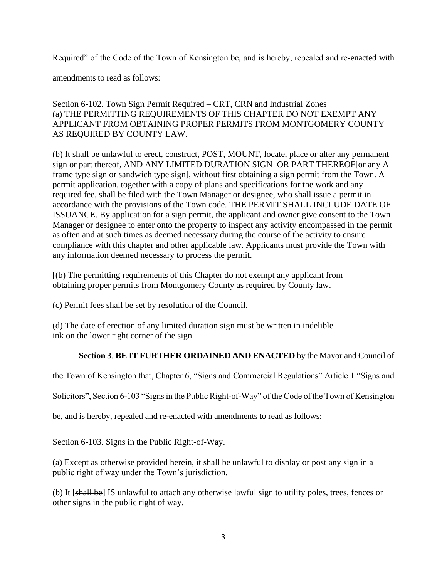Required" of the Code of the Town of Kensington be, and is hereby, repealed and re-enacted with

amendments to read as follows:

### Section 6-102. Town Sign Permit Required – CRT, CRN and Industrial Zones (a) THE PERMITTING REQUIREMENTS OF THIS CHAPTER DO NOT EXEMPT ANY APPLICANT FROM OBTAINING PROPER PERMITS FROM MONTGOMERY COUNTY AS REQUIRED BY COUNTY LAW.

(b) It shall be unlawful to erect, construct, POST, MOUNT, locate, place or alter any permanent sign or part thereof, AND ANY LIMITED DURATION SIGN OR PART THEREOF[or any A frame type sign or sandwich type sign], without first obtaining a sign permit from the Town. A permit application, together with a copy of plans and specifications for the work and any required fee, shall be filed with the Town Manager or designee, who shall issue a permit in accordance with the provisions of the Town code. THE PERMIT SHALL INCLUDE DATE OF ISSUANCE. By application for a sign permit, the applicant and owner give consent to the Town Manager or designee to enter onto the property to inspect any activity encompassed in the permit as often and at such times as deemed necessary during the course of the activity to ensure compliance with this chapter and other applicable law. Applicants must provide the Town with any information deemed necessary to process the permit.

#### [(b) The permitting requirements of this Chapter do not exempt any applicant from obtaining proper permits from Montgomery County as required by County law.]

(c) Permit fees shall be set by resolution of the Council.

(d) The date of erection of any limited duration sign must be written in indelible ink on the lower right corner of the sign.

# **Section 3**. **BE IT FURTHER ORDAINED AND ENACTED** by the Mayor and Council of

the Town of Kensington that, Chapter 6, "Signs and Commercial Regulations" Article 1 "Signs and

Solicitors", Section 6-103 "Signs in the Public Right-of-Way" of the Code of the Town of Kensington

be, and is hereby, repealed and re-enacted with amendments to read as follows:

Section 6-103. Signs in the Public Right-of-Way.

(a) Except as otherwise provided herein, it shall be unlawful to display or post any sign in a public right of way under the Town's jurisdiction.

(b) It [shall be] IS unlawful to attach any otherwise lawful sign to utility poles, trees, fences or other signs in the public right of way.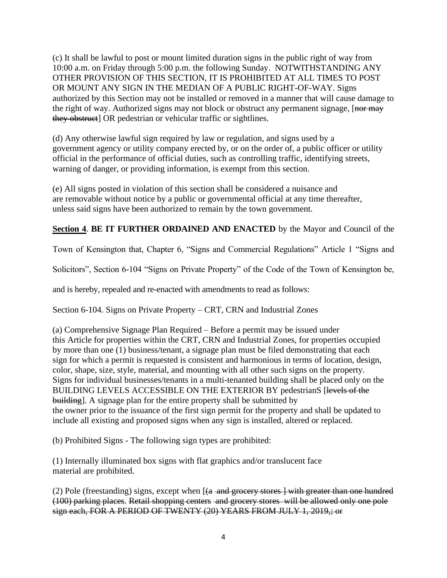(c) It shall be lawful to post or mount limited duration signs in the public right of way from 10:00 a.m. on Friday through 5:00 p.m. the following Sunday. NOTWITHSTANDING ANY OTHER PROVISION OF THIS SECTION, IT IS PROHIBITED AT ALL TIMES TO POST OR MOUNT ANY SIGN IN THE MEDIAN OF A PUBLIC RIGHT-OF-WAY. Signs authorized by this Section may not be installed or removed in a manner that will cause damage to the right of way. Authorized signs may not block or obstruct any permanent signage, [nor may they obstruct] OR pedestrian or vehicular traffic or sightlines.

(d) Any otherwise lawful sign required by law or regulation, and signs used by a government agency or utility company erected by, or on the order of, a public officer or utility official in the performance of official duties, such as controlling traffic, identifying streets, warning of danger, or providing information, is exempt from this section.

(e) All signs posted in violation of this section shall be considered a nuisance and are removable without notice by a public or governmental official at any time thereafter, unless said signs have been authorized to remain by the town government.

**Section 4**. **BE IT FURTHER ORDAINED AND ENACTED** by the Mayor and Council of the

Town of Kensington that, Chapter 6, "Signs and Commercial Regulations" Article 1 "Signs and

Solicitors", Section 6-104 "Signs on Private Property" of the Code of the Town of Kensington be,

and is hereby, repealed and re-enacted with amendments to read as follows:

Section 6-104. Signs on Private Property – CRT, CRN and Industrial Zones

(a) Comprehensive Signage Plan Required – Before a permit may be issued under this Article for properties within the CRT, CRN and Industrial Zones, for properties occupied by more than one (1) business/tenant, a signage plan must be filed demonstrating that each sign for which a permit is requested is consistent and harmonious in terms of location, design, color, shape, size, style, material, and mounting with all other such signs on the property. Signs for individual businesses/tenants in a multi-tenanted building shall be placed only on the BUILDING LEVELS ACCESSIBLE ON THE EXTERIOR BY pedestrianS [levels of the building]. A signage plan for the entire property shall be submitted by the owner prior to the issuance of the first sign permit for the property and shall be updated to include all existing and proposed signs when any sign is installed, altered or replaced.

(b) Prohibited Signs - The following sign types are prohibited:

(1) Internally illuminated box signs with flat graphics and/or translucent face material are prohibited.

(2) Pole (freestanding) signs, except when  $[(a - and *grocery* stores] with greater than one hundred]$ (100) parking places. Retail shopping centers and grocery stores will be allowed only one pole sign each, FOR A PERIOD OF TWENTY (20) YEARS FROM JULY 1, 2019,; or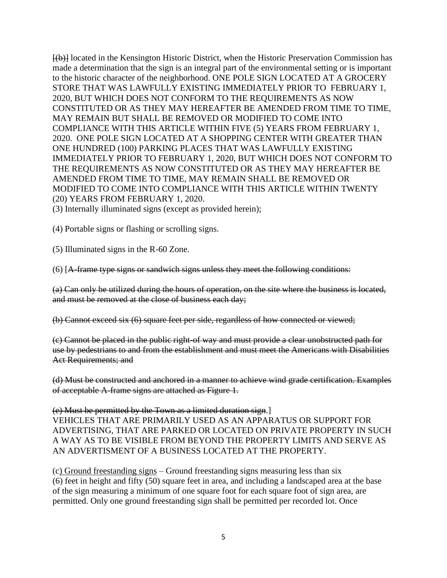[(b)] located in the Kensington Historic District, when the Historic Preservation Commission has made a determination that the sign is an integral part of the environmental setting or is important to the historic character of the neighborhood. ONE POLE SIGN LOCATED AT A GROCERY STORE THAT WAS LAWFULLY EXISTING IMMEDIATELY PRIOR TO FEBRUARY 1, 2020, BUT WHICH DOES NOT CONFORM TO THE REQUIREMENTS AS NOW CONSTITUTED OR AS THEY MAY HEREAFTER BE AMENDED FROM TIME TO TIME, MAY REMAIN BUT SHALL BE REMOVED OR MODIFIED TO COME INTO COMPLIANCE WITH THIS ARTICLE WITHIN FIVE (5) YEARS FROM FEBRUARY 1, 2020. ONE POLE SIGN LOCATED AT A SHOPPING CENTER WITH GREATER THAN ONE HUNDRED (100) PARKING PLACES THAT WAS LAWFULLY EXISTING IMMEDIATELY PRIOR TO FEBRUARY 1, 2020, BUT WHICH DOES NOT CONFORM TO THE REQUIREMENTS AS NOW CONSTITUTED OR AS THEY MAY HEREAFTER BE AMENDED FROM TIME TO TIME, MAY REMAIN SHALL BE REMOVED OR MODIFIED TO COME INTO COMPLIANCE WITH THIS ARTICLE WITHIN TWENTY (20) YEARS FROM FEBRUARY 1, 2020.

(3) Internally illuminated signs (except as provided herein);

(4) Portable signs or flashing or scrolling signs.

(5) Illuminated signs in the R-60 Zone.

(6) [A-frame type signs or sandwich signs unless they meet the following conditions:

(a) Can only be utilized during the hours of operation, on the site where the business is located, and must be removed at the close of business each day;

(b) Cannot exceed six (6) square feet per side, regardless of how connected or viewed;

(c) Cannot be placed in the public right-of way and must provide a clear unobstructed path for use by pedestrians to and from the establishment and must meet the Americans with Disabilities Act Requirements; and

(d) Must be constructed and anchored in a manner to achieve wind grade certification. Examples of acceptable A-frame signs are attached as Figure 1.

#### (e) Must be permitted by the Town as a limited duration sign.]

VEHICLES THAT ARE PRIMARILY USED AS AN APPARATUS OR SUPPORT FOR ADVERTISING, THAT ARE PARKED OR LOCATED ON PRIVATE PROPERTY IN SUCH A WAY AS TO BE VISIBLE FROM BEYOND THE PROPERTY LIMITS AND SERVE AS AN ADVERTISMENT OF A BUSINESS LOCATED AT THE PROPERTY.

(c) Ground freestanding signs – Ground freestanding signs measuring less than six (6) feet in height and fifty (50) square feet in area, and including a landscaped area at the base of the sign measuring a minimum of one square foot for each square foot of sign area, are permitted. Only one ground freestanding sign shall be permitted per recorded lot. Once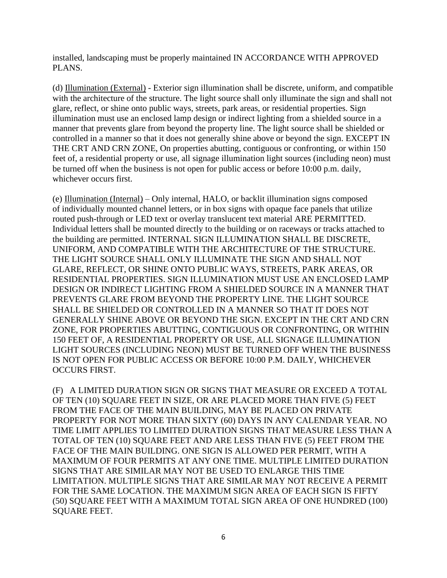installed, landscaping must be properly maintained IN ACCORDANCE WITH APPROVED PLANS.

(d) Illumination (External) - Exterior sign illumination shall be discrete, uniform, and compatible with the architecture of the structure. The light source shall only illuminate the sign and shall not glare, reflect, or shine onto public ways, streets, park areas, or residential properties. Sign illumination must use an enclosed lamp design or indirect lighting from a shielded source in a manner that prevents glare from beyond the property line. The light source shall be shielded or controlled in a manner so that it does not generally shine above or beyond the sign. EXCEPT IN THE CRT AND CRN ZONE, On properties abutting, contiguous or confronting, or within 150 feet of, a residential property or use, all signage illumination light sources (including neon) must be turned off when the business is not open for public access or before 10:00 p.m. daily, whichever occurs first.

(e) Illumination (Internal) – Only internal, HALO, or backlit illumination signs composed of individually mounted channel letters, or in box signs with opaque face panels that utilize routed push-through or LED text or overlay translucent text material ARE PERMITTED. Individual letters shall be mounted directly to the building or on raceways or tracks attached to the building are permitted. INTERNAL SIGN ILLUMINATION SHALL BE DISCRETE, UNIFORM, AND COMPATIBLE WITH THE ARCHITECTURE OF THE STRUCTURE. THE LIGHT SOURCE SHALL ONLY ILLUMINATE THE SIGN AND SHALL NOT GLARE, REFLECT, OR SHINE ONTO PUBLIC WAYS, STREETS, PARK AREAS, OR RESIDENTIAL PROPERTIES. SIGN ILLUMINATION MUST USE AN ENCLOSED LAMP DESIGN OR INDIRECT LIGHTING FROM A SHIELDED SOURCE IN A MANNER THAT PREVENTS GLARE FROM BEYOND THE PROPERTY LINE. THE LIGHT SOURCE SHALL BE SHIELDED OR CONTROLLED IN A MANNER SO THAT IT DOES NOT GENERALLY SHINE ABOVE OR BEYOND THE SIGN. EXCEPT IN THE CRT AND CRN ZONE, FOR PROPERTIES ABUTTING, CONTIGUOUS OR CONFRONTING, OR WITHIN 150 FEET OF, A RESIDENTIAL PROPERTY OR USE, ALL SIGNAGE ILLUMINATION LIGHT SOURCES (INCLUDING NEON) MUST BE TURNED OFF WHEN THE BUSINESS IS NOT OPEN FOR PUBLIC ACCESS OR BEFORE 10:00 P.M. DAILY, WHICHEVER OCCURS FIRST.

(F) A LIMITED DURATION SIGN OR SIGNS THAT MEASURE OR EXCEED A TOTAL OF TEN (10) SQUARE FEET IN SIZE, OR ARE PLACED MORE THAN FIVE (5) FEET FROM THE FACE OF THE MAIN BUILDING, MAY BE PLACED ON PRIVATE PROPERTY FOR NOT MORE THAN SIXTY (60) DAYS IN ANY CALENDAR YEAR. NO TIME LIMIT APPLIES TO LIMITED DURATION SIGNS THAT MEASURE LESS THAN A TOTAL OF TEN (10) SQUARE FEET AND ARE LESS THAN FIVE (5) FEET FROM THE FACE OF THE MAIN BUILDING. ONE SIGN IS ALLOWED PER PERMIT, WITH A MAXIMUM OF FOUR PERMITS AT ANY ONE TIME. MULTIPLE LIMITED DURATION SIGNS THAT ARE SIMILAR MAY NOT BE USED TO ENLARGE THIS TIME LIMITATION. MULTIPLE SIGNS THAT ARE SIMILAR MAY NOT RECEIVE A PERMIT FOR THE SAME LOCATION. THE MAXIMUM SIGN AREA OF EACH SIGN IS FIFTY (50) SQUARE FEET WITH A MAXIMUM TOTAL SIGN AREA OF ONE HUNDRED (100) SQUARE FEET.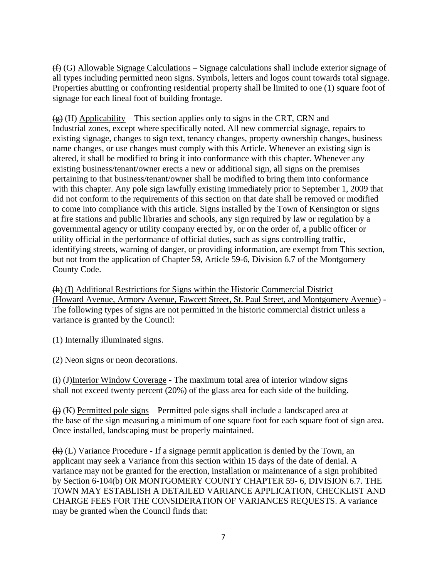(f) (G) Allowable Signage Calculations – Signage calculations shall include exterior signage of all types including permitted neon signs. Symbols, letters and logos count towards total signage. Properties abutting or confronting residential property shall be limited to one (1) square foot of signage for each lineal foot of building frontage.

 $\left(\frac{g}{g}\right)$  (H) Applicability – This section applies only to signs in the CRT, CRN and Industrial zones, except where specifically noted. All new commercial signage, repairs to existing signage, changes to sign text, tenancy changes, property ownership changes, business name changes, or use changes must comply with this Article. Whenever an existing sign is altered, it shall be modified to bring it into conformance with this chapter. Whenever any existing business/tenant/owner erects a new or additional sign, all signs on the premises pertaining to that business/tenant/owner shall be modified to bring them into conformance with this chapter. Any pole sign lawfully existing immediately prior to September 1, 2009 that did not conform to the requirements of this section on that date shall be removed or modified to come into compliance with this article. Signs installed by the Town of Kensington or signs at fire stations and public libraries and schools, any sign required by law or regulation by a governmental agency or utility company erected by, or on the order of, a public officer or utility official in the performance of official duties, such as signs controlling traffic, identifying streets, warning of danger, or providing information, are exempt from This section, but not from the application of Chapter 59, Article 59-6, Division 6.7 of the Montgomery County Code.

(h) (I) Additional Restrictions for Signs within the Historic Commercial District (Howard Avenue, Armory Avenue, Fawcett Street, St. Paul Street, and Montgomery Avenue) - The following types of signs are not permitted in the historic commercial district unless a variance is granted by the Council:

(1) Internally illuminated signs.

(2) Neon signs or neon decorations.

 $\overrightarrow{(i)}$  (J)Interior Window Coverage - The maximum total area of interior window signs shall not exceed twenty percent (20%) of the glass area for each side of the building.

 $\leftrightarrow$  ( $\leftrightarrow$ ) Permitted pole signs – Permitted pole signs shall include a landscaped area at the base of the sign measuring a minimum of one square foot for each square foot of sign area. Once installed, landscaping must be properly maintained.

 $(k)$  (L) Variance Procedure - If a signage permit application is denied by the Town, an applicant may seek a Variance from this section within 15 days of the date of denial. A variance may not be granted for the erection, installation or maintenance of a sign prohibited by Section 6-104(b) OR MONTGOMERY COUNTY CHAPTER 59- 6, DIVISION 6.7. THE TOWN MAY ESTABLISH A DETAILED VARIANCE APPLICATION, CHECKLIST AND CHARGE FEES FOR THE CONSIDERATION OF VARIANCES REQUESTS. A variance may be granted when the Council finds that: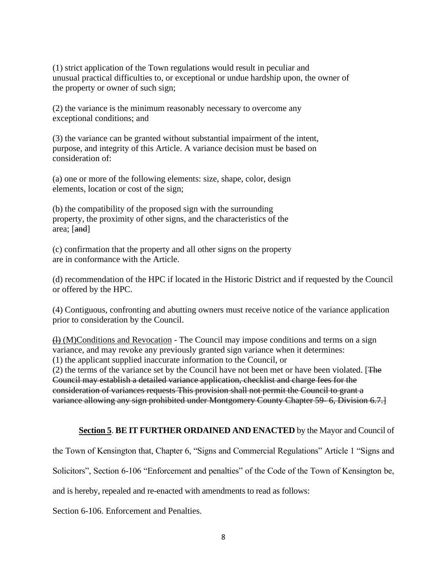(1) strict application of the Town regulations would result in peculiar and unusual practical difficulties to, or exceptional or undue hardship upon, the owner of the property or owner of such sign;

(2) the variance is the minimum reasonably necessary to overcome any exceptional conditions; and

(3) the variance can be granted without substantial impairment of the intent, purpose, and integrity of this Article. A variance decision must be based on consideration of:

(a) one or more of the following elements: size, shape, color, design elements, location or cost of the sign;

(b) the compatibility of the proposed sign with the surrounding property, the proximity of other signs, and the characteristics of the area; [and]

(c) confirmation that the property and all other signs on the property are in conformance with the Article.

(d) recommendation of the HPC if located in the Historic District and if requested by the Council or offered by the HPC.

(4) Contiguous, confronting and abutting owners must receive notice of the variance application prior to consideration by the Council.

 $(H)$  (M)Conditions and Revocation - The Council may impose conditions and terms on a sign variance, and may revoke any previously granted sign variance when it determines: (1) the applicant supplied inaccurate information to the Council, or

(2) the terms of the variance set by the Council have not been met or have been violated. [The Council may establish a detailed variance application, checklist and charge fees for the consideration of variances requests This provision shall not permit the Council to grant a variance allowing any sign prohibited under Montgomery County Chapter 59- 6, Division 6.7.]

#### **Section 5**. **BE IT FURTHER ORDAINED AND ENACTED** by the Mayor and Council of

the Town of Kensington that, Chapter 6, "Signs and Commercial Regulations" Article 1 "Signs and

Solicitors", Section 6-106 "Enforcement and penalties" of the Code of the Town of Kensington be,

and is hereby, repealed and re-enacted with amendments to read as follows:

Section 6-106. Enforcement and Penalties.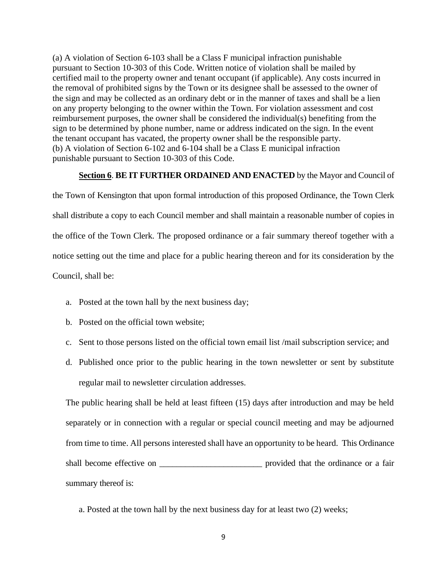(a) A violation of Section 6-103 shall be a Class F municipal infraction punishable pursuant to Section 10-303 of this Code. Written notice of violation shall be mailed by certified mail to the property owner and tenant occupant (if applicable). Any costs incurred in the removal of prohibited signs by the Town or its designee shall be assessed to the owner of the sign and may be collected as an ordinary debt or in the manner of taxes and shall be a lien on any property belonging to the owner within the Town. For violation assessment and cost reimbursement purposes, the owner shall be considered the individual(s) benefiting from the sign to be determined by phone number, name or address indicated on the sign. In the event the tenant occupant has vacated, the property owner shall be the responsible party. (b) A violation of Section 6-102 and 6-104 shall be a Class E municipal infraction punishable pursuant to Section 10-303 of this Code.

#### **Section 6**. **BE IT FURTHER ORDAINED AND ENACTED** by the Mayor and Council of

the Town of Kensington that upon formal introduction of this proposed Ordinance, the Town Clerk shall distribute a copy to each Council member and shall maintain a reasonable number of copies in the office of the Town Clerk. The proposed ordinance or a fair summary thereof together with a notice setting out the time and place for a public hearing thereon and for its consideration by the Council, shall be:

- a. Posted at the town hall by the next business day;
- b. Posted on the official town website;
- c. Sent to those persons listed on the official town email list /mail subscription service; and
- d. Published once prior to the public hearing in the town newsletter or sent by substitute regular mail to newsletter circulation addresses.

The public hearing shall be held at least fifteen (15) days after introduction and may be held separately or in connection with a regular or special council meeting and may be adjourned from time to time. All persons interested shall have an opportunity to be heard. This Ordinance shall become effective on \_\_\_\_\_\_\_\_\_\_\_\_\_\_\_\_\_\_\_\_\_\_\_\_ provided that the ordinance or a fair summary thereof is:

a. Posted at the town hall by the next business day for at least two (2) weeks;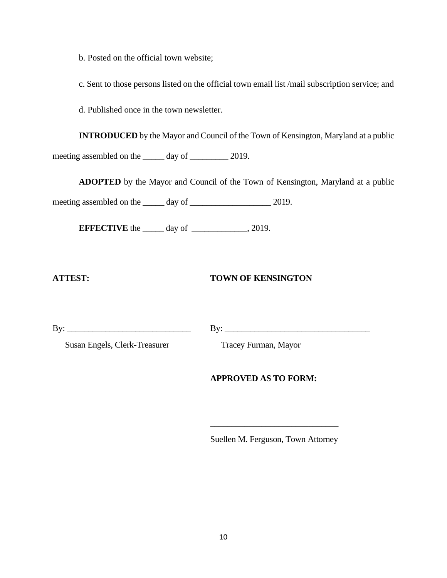b. Posted on the official town website;

c. Sent to those persons listed on the official town email list /mail subscription service; and

d. Published once in the town newsletter.

**INTRODUCED** by the Mayor and Council of the Town of Kensington, Maryland at a public meeting assembled on the \_\_\_\_\_\_ day of \_\_\_\_\_\_\_\_ 2019.

**ADOPTED** by the Mayor and Council of the Town of Kensington, Maryland at a public

meeting assembled on the day of 2019.

**EFFECTIVE** the \_\_\_\_\_ day of \_\_\_\_\_\_\_\_\_\_\_, 2019.

# **ATTEST: TOWN OF KENSINGTON**

 $\text{By:}\_$ 

Susan Engels, Clerk-Treasurer Tracey Furman, Mayor

# **APPROVED AS TO FORM:**

Suellen M. Ferguson, Town Attorney

\_\_\_\_\_\_\_\_\_\_\_\_\_\_\_\_\_\_\_\_\_\_\_\_\_\_\_\_\_\_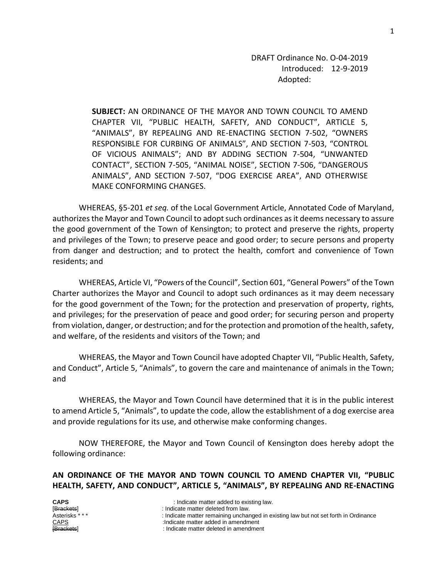DRAFT Ordinance No. O-04-2019 Introduced: 12-9-2019 Adopted:

**SUBJECT:** AN ORDINANCE OF THE MAYOR AND TOWN COUNCIL TO AMEND CHAPTER VII, "PUBLIC HEALTH, SAFETY, AND CONDUCT", ARTICLE 5, "ANIMALS", BY REPEALING AND RE-ENACTING SECTION 7-502, "OWNERS RESPONSIBLE FOR CURBING OF ANIMALS", AND SECTION 7-503, "CONTROL OF VICIOUS ANIMALS"; AND BY ADDING SECTION 7-504, "UNWANTED CONTACT", SECTION 7-505, "ANIMAL NOISE", SECTION 7-506, "DANGEROUS ANIMALS", AND SECTION 7-507, "DOG EXERCISE AREA", AND OTHERWISE MAKE CONFORMING CHANGES.

WHEREAS, §5-201 *et seq.* of the Local Government Article, Annotated Code of Maryland, authorizes the Mayor and Town Council to adopt such ordinances as it deems necessary to assure the good government of the Town of Kensington; to protect and preserve the rights, property and privileges of the Town; to preserve peace and good order; to secure persons and property from danger and destruction; and to protect the health, comfort and convenience of Town residents; and

WHEREAS, Article VI, "Powers of the Council", Section 601, "General Powers" of the Town Charter authorizes the Mayor and Council to adopt such ordinances as it may deem necessary for the good government of the Town; for the protection and preservation of property, rights, and privileges; for the preservation of peace and good order; for securing person and property from violation, danger, or destruction; and for the protection and promotion of the health, safety, and welfare, of the residents and visitors of the Town; and

WHEREAS, the Mayor and Town Council have adopted Chapter VII, "Public Health, Safety, and Conduct", Article 5, "Animals", to govern the care and maintenance of animals in the Town; and

WHEREAS, the Mayor and Town Council have determined that it is in the public interest to amend Article 5, "Animals", to update the code, allow the establishment of a dog exercise area and provide regulations for its use, and otherwise make conforming changes.

NOW THEREFORE, the Mayor and Town Council of Kensington does hereby adopt the following ordinance:

**AN ORDINANCE OF THE MAYOR AND TOWN COUNCIL TO AMEND CHAPTER VII, "PUBLIC HEALTH, SAFETY, AND CONDUCT", ARTICLE 5, "ANIMALS", BY REPEALING AND RE-ENACTING** 

| <b>CAPS</b>     | : Indicate matter added to existing law.                                             |
|-----------------|--------------------------------------------------------------------------------------|
| [Brackets]      | : Indicate matter deleted from law.                                                  |
| Asterisks * * * | : Indicate matter remaining unchanged in existing law but not set forth in Ordinance |
| CAPS            | :Indicate matter added in amendment                                                  |
| [Brackets]      | : Indicate matter deleted in amendment                                               |
|                 |                                                                                      |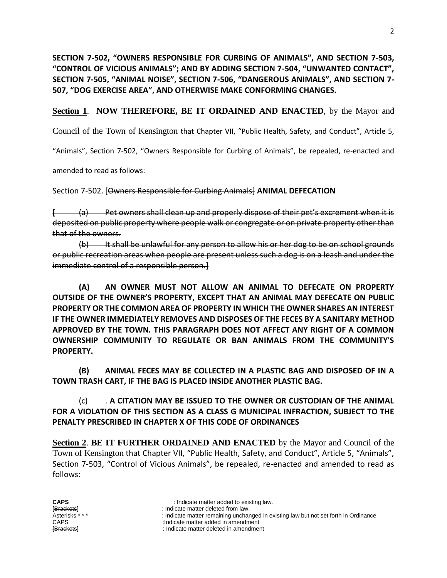**SECTION 7-502, "OWNERS RESPONSIBLE FOR CURBING OF ANIMALS", AND SECTION 7-503, "CONTROL OF VICIOUS ANIMALS"; AND BY ADDING SECTION 7-504, "UNWANTED CONTACT", SECTION 7-505, "ANIMAL NOISE", SECTION 7-506, "DANGEROUS ANIMALS", AND SECTION 7- 507, "DOG EXERCISE AREA", AND OTHERWISE MAKE CONFORMING CHANGES.**

**Section 1**. **NOW THEREFORE, BE IT ORDAINED AND ENACTED**, by the Mayor and

Council of the Town of Kensington that Chapter VII, "Public Health, Safety, and Conduct", Article 5,

"Animals", Section 7-502, "Owners Responsible for Curbing of Animals", be repealed, re-enacted and

amended to read as follows:

Section 7-502. [Owners Responsible for Curbing Animals] **ANIMAL DEFECATION**

**[** (a) Pet owners shall clean up and properly dispose of their pet's excrement when it is deposited on public property where people walk or congregate or on private property other than that of the owners.

(b) It shall be unlawful for any person to allow his or her dog to be on school grounds or public recreation areas when people are present unless such a dog is on a leash and under the immediate control of a responsible person.]

**(A) AN OWNER MUST NOT ALLOW AN ANIMAL TO DEFECATE ON PROPERTY OUTSIDE OF THE OWNER'S PROPERTY, EXCEPT THAT AN ANIMAL MAY DEFECATE ON PUBLIC PROPERTY OR THE COMMON AREA OF PROPERTY IN WHICH THE OWNER SHARES AN INTEREST IF THE OWNER IMMEDIATELY REMOVES AND DISPOSES OF THE FECES BY A SANITARY METHOD APPROVED BY THE TOWN. THIS PARAGRAPH DOES NOT AFFECT ANY RIGHT OF A COMMON OWNERSHIP COMMUNITY TO REGULATE OR BAN ANIMALS FROM THE COMMUNITY'S PROPERTY.**

**(B) ANIMAL FECES MAY BE COLLECTED IN A PLASTIC BAG AND DISPOSED OF IN A TOWN TRASH CART, IF THE BAG IS PLACED INSIDE ANOTHER PLASTIC BAG.**

(c) . **A CITATION MAY BE ISSUED TO THE OWNER OR CUSTODIAN OF THE ANIMAL FOR A VIOLATION OF THIS SECTION AS A CLASS G MUNICIPAL INFRACTION, SUBJECT TO THE PENALTY PRESCRIBED IN CHAPTER X OF THIS CODE OF ORDINANCES**

**Section 2**. **BE IT FURTHER ORDAINED AND ENACTED** by the Mayor and Council of the Town of Kensington that Chapter VII, "Public Health, Safety, and Conduct", Article 5, "Animals", Section 7-503, "Control of Vicious Animals", be repealed, re-enacted and amended to read as follows:

**CAPS** : Indicate matter added to existing law.<br> **Exacted Exacts** : Indicate matter deleted from law.

- 
- [Brackets] : Indicate matter deleted from law. : Indicate matter remaining unchanged in existing law but not set forth in Ordinance

CAPS :Indicate matter added in amendment

: Indicate matter deleted in amendment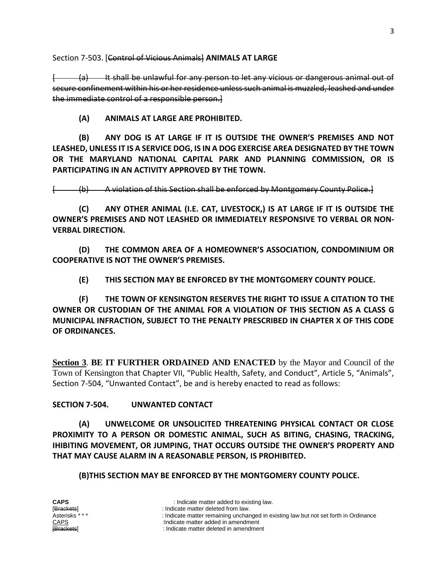Section 7-503. [Control of Vicious Animals] **ANIMALS AT LARGE**

(a) It shall be unlawful for any person to let any vicious or dangerous animal out of secure confinement within his or her residence unless such animal is muzzled, leashed and under the immediate control of a responsible person.]

**(A) ANIMALS AT LARGE ARE PROHIBITED.** 

**(B) ANY DOG IS AT LARGE IF IT IS OUTSIDE THE OWNER'S PREMISES AND NOT LEASHED, UNLESS IT IS A SERVICE DOG, IS IN A DOG EXERCISE AREA DESIGNATED BY THE TOWN OR THE MARYLAND NATIONAL CAPITAL PARK AND PLANNING COMMISSION, OR IS PARTICIPATING IN AN ACTIVITY APPROVED BY THE TOWN.**

[ (b) A violation of this Section shall be enforced by Montgomery County Police.]

**(C) ANY OTHER ANIMAL (I.E. CAT, LIVESTOCK,) IS AT LARGE IF IT IS OUTSIDE THE OWNER'S PREMISES AND NOT LEASHED OR IMMEDIATELY RESPONSIVE TO VERBAL OR NON-VERBAL DIRECTION.**

**(D) THE COMMON AREA OF A HOMEOWNER'S ASSOCIATION, CONDOMINIUM OR COOPERATIVE IS NOT THE OWNER'S PREMISES.**

**(E) THIS SECTION MAY BE ENFORCED BY THE MONTGOMERY COUNTY POLICE.**

**(F) THE TOWN OF KENSINGTON RESERVES THE RIGHT TO ISSUE A CITATION TO THE OWNER OR CUSTODIAN OF THE ANIMAL FOR A VIOLATION OF THIS SECTION AS A CLASS G MUNICIPAL INFRACTION, SUBJECT TO THE PENALTY PRESCRIBED IN CHAPTER X OF THIS CODE OF ORDINANCES.** 

**Section 3**. **BE IT FURTHER ORDAINED AND ENACTED** by the Mayor and Council of the Town of Kensington that Chapter VII, "Public Health, Safety, and Conduct", Article 5, "Animals", Section 7-504, "Unwanted Contact", be and is hereby enacted to read as follows:

**SECTION 7-504. UNWANTED CONTACT**

**(A) UNWELCOME OR UNSOLICITED THREATENING PHYSICAL CONTACT OR CLOSE PROXIMITY TO A PERSON OR DOMESTIC ANIMAL, SUCH AS BITING, CHASING, TRACKING, IHIBITING MOVEMENT, OR JUMPING, THAT OCCURS OUTSIDE THE OWNER'S PROPERTY AND THAT MAY CAUSE ALARM IN A REASONABLE PERSON, IS PROHIBITED.**

**(B)THIS SECTION MAY BE ENFORCED BY THE MONTGOMERY COUNTY POLICE.**

- 
- [Brackets] : Indicate matter deleted from law. : Indicate matter remaining unchanged in existing law but not set forth in Ordinance

CAPS :Indicate matter added in amendment

<sup>:</sup> Indicate matter deleted in amendment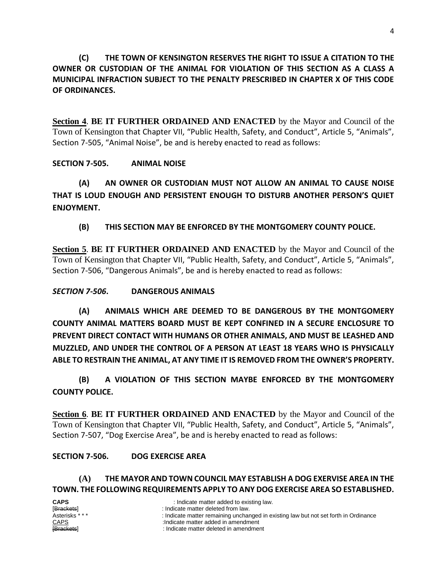**(C) THE TOWN OF KENSINGTON RESERVES THE RIGHT TO ISSUE A CITATION TO THE OWNER OR CUSTODIAN OF THE ANIMAL FOR VIOLATION OF THIS SECTION AS A CLASS A MUNICIPAL INFRACTION SUBJECT TO THE PENALTY PRESCRIBED IN CHAPTER X OF THIS CODE OF ORDINANCES.** 

**Section 4**. **BE IT FURTHER ORDAINED AND ENACTED** by the Mayor and Council of the Town of Kensington that Chapter VII, "Public Health, Safety, and Conduct", Article 5, "Animals", Section 7-505, "Animal Noise", be and is hereby enacted to read as follows:

# **SECTION 7-505. ANIMAL NOISE**

**(A) AN OWNER OR CUSTODIAN MUST NOT ALLOW AN ANIMAL TO CAUSE NOISE THAT IS LOUD ENOUGH AND PERSISTENT ENOUGH TO DISTURB ANOTHER PERSON'S QUIET ENJOYMENT.**

# **(B) THIS SECTION MAY BE ENFORCED BY THE MONTGOMERY COUNTY POLICE.**

**Section 5**. **BE IT FURTHER ORDAINED AND ENACTED** by the Mayor and Council of the Town of Kensington that Chapter VII, "Public Health, Safety, and Conduct", Article 5, "Animals", Section 7-506, "Dangerous Animals", be and is hereby enacted to read as follows:

# *SECTION 7-506***. DANGEROUS ANIMALS**

**(A) ANIMALS WHICH ARE DEEMED TO BE DANGEROUS BY THE MONTGOMERY COUNTY ANIMAL MATTERS BOARD MUST BE KEPT CONFINED IN A SECURE ENCLOSURE TO PREVENT DIRECT CONTACT WITH HUMANS OR OTHER ANIMALS, AND MUST BE LEASHED AND MUZZLED, AND UNDER THE CONTROL OF A PERSON AT LEAST 18 YEARS WHO IS PHYSICALLY ABLE TO RESTRAIN THE ANIMAL, AT ANY TIME IT IS REMOVED FROM THE OWNER'S PROPERTY.**

**(B) A VIOLATION OF THIS SECTION MAYBE ENFORCED BY THE MONTGOMERY COUNTY POLICE.** 

**Section 6**. **BE IT FURTHER ORDAINED AND ENACTED** by the Mayor and Council of the Town of Kensington that Chapter VII, "Public Health, Safety, and Conduct", Article 5, "Animals", Section 7-507, "Dog Exercise Area", be and is hereby enacted to read as follows:

# **SECTION 7-506. DOG EXERCISE AREA**

#### **(A) THE MAYOR AND TOWN COUNCIL MAY ESTABLISH A DOG EXERVISE AREA IN THE TOWN. THE FOLLOWING REQUIREMENTS APPLY TO ANY DOG EXERCISE AREA SO ESTABLISHED.**

| <b>CAPS</b><br>: Indicate matter added to existing law.<br>[Brackets]<br>: Indicate matter deleted from law.<br>Asterisks * * *<br><b>CAPS</b><br>:Indicate matter added in amendment<br><b>[Brackets]</b><br>: Indicate matter deleted in amendment | : Indicate matter remaining unchanged in existing law but not set forth in Ordinance |
|------------------------------------------------------------------------------------------------------------------------------------------------------------------------------------------------------------------------------------------------------|--------------------------------------------------------------------------------------|
|------------------------------------------------------------------------------------------------------------------------------------------------------------------------------------------------------------------------------------------------------|--------------------------------------------------------------------------------------|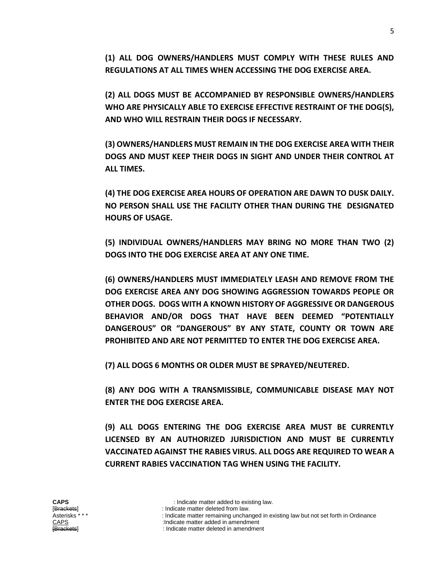**(1) ALL DOG OWNERS/HANDLERS MUST COMPLY WITH THESE RULES AND REGULATIONS AT ALL TIMES WHEN ACCESSING THE DOG EXERCISE AREA.**

**(2) ALL DOGS MUST BE ACCOMPANIED BY RESPONSIBLE OWNERS/HANDLERS WHO ARE PHYSICALLY ABLE TO EXERCISE EFFECTIVE RESTRAINT OF THE DOG(S), AND WHO WILL RESTRAIN THEIR DOGS IF NECESSARY.** 

**(3) OWNERS/HANDLERS MUST REMAIN IN THE DOG EXERCISE AREA WITH THEIR DOGS AND MUST KEEP THEIR DOGS IN SIGHT AND UNDER THEIR CONTROL AT ALL TIMES.**

**(4) THE DOG EXERCISE AREA HOURS OF OPERATION ARE DAWN TO DUSK DAILY. NO PERSON SHALL USE THE FACILITY OTHER THAN DURING THE DESIGNATED HOURS OF USAGE.**

**(5) INDIVIDUAL OWNERS/HANDLERS MAY BRING NO MORE THAN TWO (2) DOGS INTO THE DOG EXERCISE AREA AT ANY ONE TIME.**

**(6) OWNERS/HANDLERS MUST IMMEDIATELY LEASH AND REMOVE FROM THE DOG EXERCISE AREA ANY DOG SHOWING AGGRESSION TOWARDS PEOPLE OR OTHER DOGS. DOGS WITH A KNOWN HISTORY OF AGGRESSIVE OR DANGEROUS BEHAVIOR AND/OR DOGS THAT HAVE BEEN DEEMED "POTENTIALLY DANGEROUS" OR "DANGEROUS" BY ANY STATE, COUNTY OR TOWN ARE PROHIBITED AND ARE NOT PERMITTED TO ENTER THE DOG EXERCISE AREA.**

**(7) ALL DOGS 6 MONTHS OR OLDER MUST BE SPRAYED/NEUTERED.**

**(8) ANY DOG WITH A TRANSMISSIBLE, COMMUNICABLE DISEASE MAY NOT ENTER THE DOG EXERCISE AREA.**

**(9) ALL DOGS ENTERING THE DOG EXERCISE AREA MUST BE CURRENTLY LICENSED BY AN AUTHORIZED JURISDICTION AND MUST BE CURRENTLY VACCINATED AGAINST THE RABIES VIRUS. ALL DOGS ARE REQUIRED TO WEAR A CURRENT RABIES VACCINATION TAG WHEN USING THE FACILITY.** 

[Brackets] : Indicate matter deleted from law. : Indicate matter remaining unchanged in existing law but not set forth in Ordinance

CAPS :Indicate matter added in amendment

: Indicate matter deleted in amendment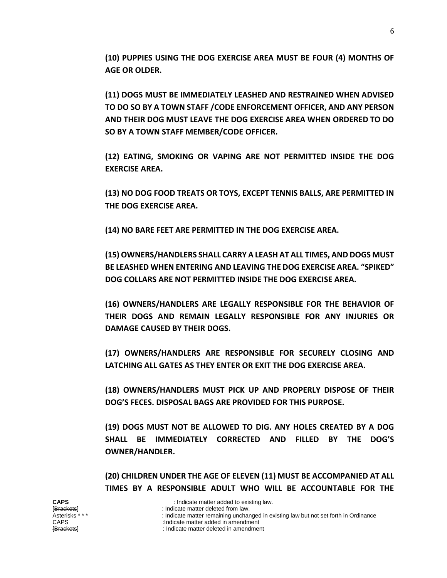**(10) PUPPIES USING THE DOG EXERCISE AREA MUST BE FOUR (4) MONTHS OF AGE OR OLDER.**

**(11) DOGS MUST BE IMMEDIATELY LEASHED AND RESTRAINED WHEN ADVISED TO DO SO BY A TOWN STAFF /CODE ENFORCEMENT OFFICER, AND ANY PERSON AND THEIR DOG MUST LEAVE THE DOG EXERCISE AREA WHEN ORDERED TO DO SO BY A TOWN STAFF MEMBER/CODE OFFICER.**

**(12) EATING, SMOKING OR VAPING ARE NOT PERMITTED INSIDE THE DOG EXERCISE AREA.** 

**(13) NO DOG FOOD TREATS OR TOYS, EXCEPT TENNIS BALLS, ARE PERMITTED IN THE DOG EXERCISE AREA.**

**(14) NO BARE FEET ARE PERMITTED IN THE DOG EXERCISE AREA.**

**(15) OWNERS/HANDLERS SHALL CARRY A LEASH AT ALL TIMES, AND DOGS MUST BE LEASHED WHEN ENTERING AND LEAVING THE DOG EXERCISE AREA. "SPIKED" DOG COLLARS ARE NOT PERMITTED INSIDE THE DOG EXERCISE AREA.**

**(16) OWNERS/HANDLERS ARE LEGALLY RESPONSIBLE FOR THE BEHAVIOR OF THEIR DOGS AND REMAIN LEGALLY RESPONSIBLE FOR ANY INJURIES OR DAMAGE CAUSED BY THEIR DOGS.**

**(17) OWNERS/HANDLERS ARE RESPONSIBLE FOR SECURELY CLOSING AND LATCHING ALL GATES AS THEY ENTER OR EXIT THE DOG EXERCISE AREA.**

**(18) OWNERS/HANDLERS MUST PICK UP AND PROPERLY DISPOSE OF THEIR DOG'S FECES. DISPOSAL BAGS ARE PROVIDED FOR THIS PURPOSE.**

**(19) DOGS MUST NOT BE ALLOWED TO DIG. ANY HOLES CREATED BY A DOG SHALL BE IMMEDIATELY CORRECTED AND FILLED BY THE DOG'S OWNER/HANDLER.**

**(20) CHILDREN UNDER THE AGE OF ELEVEN (11) MUST BE ACCOMPANIED AT ALL TIMES BY A RESPONSIBLE ADULT WHO WILL BE ACCOUNTABLE FOR THE** 

**CAPS** : Indicate matter added to existing law.<br>
[Brackets] **:** Indicate matter deleted from law.

<sup>[</sup>Brackets] indicate matter deleted from law.<br>Asterisks \*\*\* https://www.indicate.matter.remaining.unchar : Indicate matter remaining unchanged in existing law but not set forth in Ordinance

CAPS :Indicate matter added in amendment

<sup>:</sup> Indicate matter deleted in amendment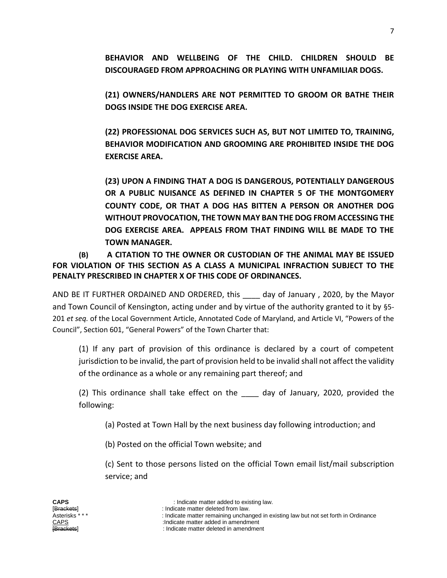**BEHAVIOR AND WELLBEING OF THE CHILD. CHILDREN SHOULD BE DISCOURAGED FROM APPROACHING OR PLAYING WITH UNFAMILIAR DOGS.**

**(21) OWNERS/HANDLERS ARE NOT PERMITTED TO GROOM OR BATHE THEIR DOGS INSIDE THE DOG EXERCISE AREA.**

**(22) PROFESSIONAL DOG SERVICES SUCH AS, BUT NOT LIMITED TO, TRAINING, BEHAVIOR MODIFICATION AND GROOMING ARE PROHIBITED INSIDE THE DOG EXERCISE AREA.**

**(23) UPON A FINDING THAT A DOG IS DANGEROUS, POTENTIALLY DANGEROUS OR A PUBLIC NUISANCE AS DEFINED IN CHAPTER 5 OF THE MONTGOMERY COUNTY CODE, OR THAT A DOG HAS BITTEN A PERSON OR ANOTHER DOG WITHOUT PROVOCATION, THE TOWN MAY BAN THE DOG FROM ACCESSING THE DOG EXERCISE AREA. APPEALS FROM THAT FINDING WILL BE MADE TO THE TOWN MANAGER.**

**(B) A CITATION TO THE OWNER OR CUSTODIAN OF THE ANIMAL MAY BE ISSUED FOR VIOLATION OF THIS SECTION AS A CLASS A MUNICIPAL INFRACTION SUBJECT TO THE PENALTY PRESCRIBED IN CHAPTER X OF THIS CODE OF ORDINANCES.** 

AND BE IT FURTHER ORDAINED AND ORDERED, this day of January, 2020, by the Mayor and Town Council of Kensington, acting under and by virtue of the authority granted to it by §5- 201 *et seq.* of the Local Government Article, Annotated Code of Maryland, and Article VI, "Powers of the Council", Section 601, "General Powers" of the Town Charter that:

(1) If any part of provision of this ordinance is declared by a court of competent jurisdiction to be invalid, the part of provision held to be invalid shall not affect the validity of the ordinance as a whole or any remaining part thereof; and

(2) This ordinance shall take effect on the day of January, 2020, provided the following:

(a) Posted at Town Hall by the next business day following introduction; and

(b) Posted on the official Town website; and

(c) Sent to those persons listed on the official Town email list/mail subscription service; and

CAPS :Indicate matter added in amendment

: Indicate matter deleted in amendment

<sup>[</sup>Brackets] indicate matter deleted from law.<br>Asterisks \*\*\* https://www.indicate.matter.remaining.unchar : Indicate matter remaining unchanged in existing law but not set forth in Ordinance